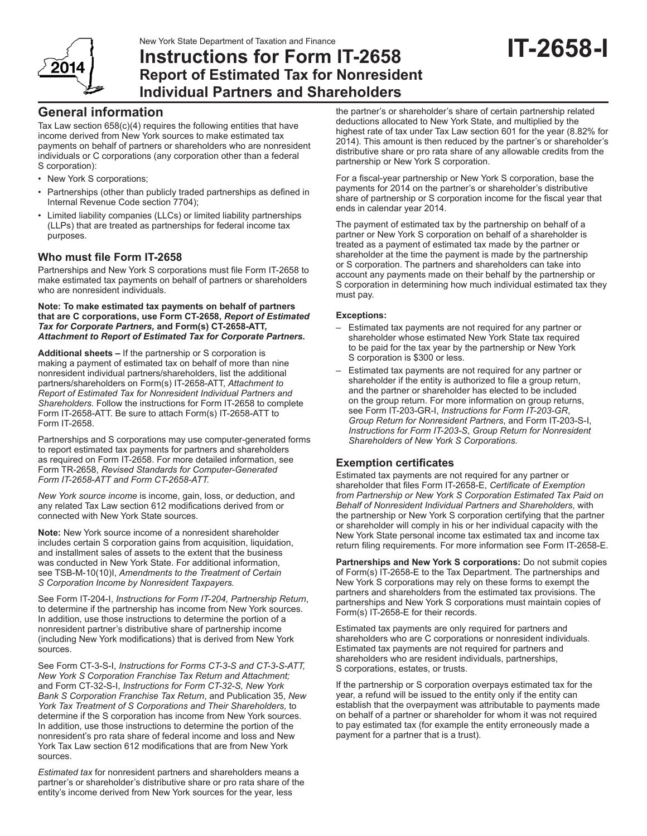New York State Department of Taxation and Finance



## **Instructions for Form IT-2658 Report of Estimated Tax for Nonresident Individual Partners and Shareholders**

# **IT-2658-I**

## **General information**

Tax Law section 658(c)(4) requires the following entities that have income derived from New York sources to make estimated tax payments on behalf of partners or shareholders who are nonresident individuals or C corporations (any corporation other than a federal S corporation):

- New York S corporations;
- Partnerships (other than publicly traded partnerships as defined in Internal Revenue Code section 7704);
- • Limited liability companies (LLCs) or limited liability partnerships (LLPs) that are treated as partnerships for federal income tax purposes.

### **Who must file Form IT-2658**

Partnerships and New York S corporations must file Form IT-2658 to make estimated tax payments on behalf of partners or shareholders who are nonresident individuals.

**Note: To make estimated tax payments on behalf of partners that are C corporations, use Form CT-2658,** *Report of Estimated Tax for Corporate Partners,* **and Form(s) CT-2658-ATT,**  *Attachment to Report of Estimated Tax for Corporate Partners.*

**Additional sheets –** If the partnership or S corporation is making a payment of estimated tax on behalf of more than nine nonresident individual partners/shareholders, list the additional partners/shareholders on Form(s) IT-2658-ATT, *Attachment to Report of Estimated Tax for Nonresident Individual Partners and Shareholders*. Follow the instructions for Form IT-2658 to complete Form IT-2658-ATT. Be sure to attach Form(s) IT-2658-ATT to Form IT-2658.

Partnerships and S corporations may use computer-generated forms to report estimated tax payments for partners and shareholders as required on Form IT-2658. For more detailed information, see Form TR-2658, *Revised Standards for Computer-Generated Form IT-2658-ATT and Form CT-2658-ATT.*

*New York source income* is income, gain, loss, or deduction, and any related Tax Law section 612 modifications derived from or connected with New York State sources.

**Note:** New York source income of a nonresident shareholder includes certain S corporation gains from acquisition, liquidation, and installment sales of assets to the extent that the business was conducted in New York State. For additional information, see TSB-M-10(10)I, *Amendments to the Treatment of Certain S Corporation Income by Nonresident Taxpayers.*

See Form IT-204-I, *Instructions for Form IT-204, Partnership Return*, to determine if the partnership has income from New York sources. In addition, use those instructions to determine the portion of a nonresident partner's distributive share of partnership income (including New York modifications) that is derived from New York sources.

See Form CT-3-S-I, *Instructions for Forms CT-3-S and CT-3-S-ATT, New York S Corporation Franchise Tax Return and Attachment;* and Form CT-32-S-I, *Instructions for Form CT-32-S, New York Bank S Corporation Franchise Tax Return*, and Publication 35, *New York Tax Treatment of S Corporations and Their Shareholders,* to determine if the S corporation has income from New York sources. In addition, use those instructions to determine the portion of the nonresident's pro rata share of federal income and loss and New York Tax Law section 612 modifications that are from New York sources.

*Estimated tax* for nonresident partners and shareholders means a partner's or shareholder's distributive share or pro rata share of the entity's income derived from New York sources for the year, less

the partner's or shareholder's share of certain partnership related deductions allocated to New York State, and multiplied by the highest rate of tax under Tax Law section 601 for the year (8.82% for 2014). This amount is then reduced by the partner's or shareholder's distributive share or pro rata share of any allowable credits from the partnership or New York S corporation.

For a fiscal-year partnership or New York S corporation, base the payments for 2014 on the partner's or shareholder's distributive share of partnership or S corporation income for the fiscal year that ends in calendar year 2014.

The payment of estimated tax by the partnership on behalf of a partner or New York S corporation on behalf of a shareholder is treated as a payment of estimated tax made by the partner or shareholder at the time the payment is made by the partnership or S corporation. The partners and shareholders can take into account any payments made on their behalf by the partnership or S corporation in determining how much individual estimated tax they must pay.

#### **Exceptions:**

- Estimated tax payments are not required for any partner or shareholder whose estimated New York State tax required to be paid for the tax year by the partnership or New York S corporation is \$300 or less.
- Estimated tax payments are not required for any partner or shareholder if the entity is authorized to file a group return, and the partner or shareholder has elected to be included on the group return. For more information on group returns, see Form IT-203-GR-I, *Instructions for Form IT-203-GR*, *Group Return for Nonresident Partners*, and Form IT-203-S-I, *Instructions for Form IT-203-S*, *Group Return for Nonresident Shareholders of New York S Corporations.*

## **Exemption certificates**

Estimated tax payments are not required for any partner or shareholder that files Form IT-2658-E, *Certificate of Exemption from Partnership or New York S Corporation Estimated Tax Paid on Behalf of Nonresident Individual Partners and Shareholders*, with the partnership or New York S corporation certifying that the partner or shareholder will comply in his or her individual capacity with the New York State personal income tax estimated tax and income tax return filing requirements. For more information see Form IT-2658-E.

**Partnerships and New York S corporations:** Do not submit copies of Form(s) IT-2658-E to the Tax Department. The partnerships and New York S corporations may rely on these forms to exempt the partners and shareholders from the estimated tax provisions. The partnerships and New York S corporations must maintain copies of Form(s) IT-2658-E for their records.

Estimated tax payments are only required for partners and shareholders who are C corporations or nonresident individuals. Estimated tax payments are not required for partners and shareholders who are resident individuals, partnerships, S corporations, estates, or trusts.

If the partnership or S corporation overpays estimated tax for the year, a refund will be issued to the entity only if the entity can establish that the overpayment was attributable to payments made on behalf of a partner or shareholder for whom it was not required to pay estimated tax (for example the entity erroneously made a payment for a partner that is a trust).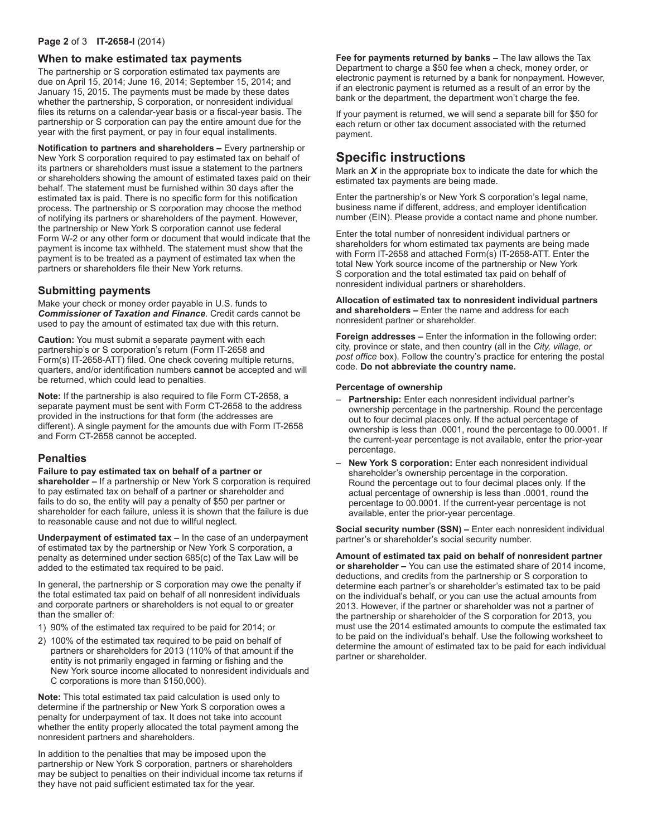#### **Page 2** of 3 **IT-2658-I** (2014)

#### **When to make estimated tax payments**

The partnership or S corporation estimated tax payments are due on April 15, 2014; June 16, 2014; September 15, 2014; and January 15, 2015. The payments must be made by these dates whether the partnership, S corporation, or nonresident individual files its returns on a calendar-year basis or a fiscal-year basis. The partnership or S corporation can pay the entire amount due for the year with the first payment, or pay in four equal installments.

**Notification to partners and shareholders –** Every partnership or New York S corporation required to pay estimated tax on behalf of its partners or shareholders must issue a statement to the partners or shareholders showing the amount of estimated taxes paid on their behalf. The statement must be furnished within 30 days after the estimated tax is paid. There is no specific form for this notification process. The partnership or S corporation may choose the method of notifying its partners or shareholders of the payment. However, the partnership or New York S corporation cannot use federal Form W-2 or any other form or document that would indicate that the payment is income tax withheld. The statement must show that the payment is to be treated as a payment of estimated tax when the partners or shareholders file their New York returns.

#### **Submitting payments**

Make your check or money order payable in U.S. funds to *Commissioner of Taxation and Finance*. Credit cards cannot be used to pay the amount of estimated tax due with this return.

**Caution:** You must submit a separate payment with each partnership's or S corporation's return (Form IT-2658 and Form(s) IT-2658-ATT) filed. One check covering multiple returns, quarters, and/or identification numbers **cannot** be accepted and will be returned, which could lead to penalties.

**Note:** If the partnership is also required to file Form CT-2658, a separate payment must be sent with Form CT-2658 to the address provided in the instructions for that form (the addresses are different). A single payment for the amounts due with Form IT-2658 and Form CT-2658 cannot be accepted.

#### **Penalties**

**Failure to pay estimated tax on behalf of a partner or shareholder –** If a partnership or New York S corporation is required to pay estimated tax on behalf of a partner or shareholder and fails to do so, the entity will pay a penalty of \$50 per partner or shareholder for each failure, unless it is shown that the failure is due to reasonable cause and not due to willful neglect.

**Underpayment of estimated tax –** In the case of an underpayment of estimated tax by the partnership or New York S corporation, a penalty as determined under section 685(c) of the Tax Law will be added to the estimated tax required to be paid.

In general, the partnership or S corporation may owe the penalty if the total estimated tax paid on behalf of all nonresident individuals and corporate partners or shareholders is not equal to or greater than the smaller of:

- 1) 90% of the estimated tax required to be paid for 2014; or
- 2) 100% of the estimated tax required to be paid on behalf of partners or shareholders for 2013 (110% of that amount if the entity is not primarily engaged in farming or fishing and the New York source income allocated to nonresident individuals and C corporations is more than \$150,000).

**Note:** This total estimated tax paid calculation is used only to determine if the partnership or New York S corporation owes a penalty for underpayment of tax. It does not take into account whether the entity properly allocated the total payment among the nonresident partners and shareholders.

In addition to the penalties that may be imposed upon the partnership or New York S corporation, partners or shareholders may be subject to penalties on their individual income tax returns if they have not paid sufficient estimated tax for the year.

**Fee for payments returned by banks –** The law allows the Tax Department to charge a \$50 fee when a check, money order, or electronic payment is returned by a bank for nonpayment. However, if an electronic payment is returned as a result of an error by the bank or the department, the department won't charge the fee.

If your payment is returned, we will send a separate bill for \$50 for each return or other tax document associated with the returned payment.

## **Specific instructions**

Mark an *X* in the appropriate box to indicate the date for which the estimated tax payments are being made.

Enter the partnership's or New York S corporation's legal name, business name if different, address, and employer identification number (EIN). Please provide a contact name and phone number.

Enter the total number of nonresident individual partners or shareholders for whom estimated tax payments are being made with Form IT-2658 and attached Form(s) IT-2658-ATT. Enter the total New York source income of the partnership or New York S corporation and the total estimated tax paid on behalf of nonresident individual partners or shareholders.

**Allocation of estimated tax to nonresident individual partners and shareholders –** Enter the name and address for each nonresident partner or shareholder.

**Foreign addresses –** Enter the information in the following order: city, province or state, and then country (all in the *City, village, or post office* box). Follow the country's practice for entering the postal code. **Do not abbreviate the country name.**

#### **Percentage of ownership**

- **Partnership:** Enter each nonresident individual partner's ownership percentage in the partnership. Round the percentage out to four decimal places only. If the actual percentage of ownership is less than .0001, round the percentage to 00.0001. If the current-year percentage is not available, enter the prior-year percentage.
- **New York S corporation:** Enter each nonresident individual shareholder's ownership percentage in the corporation. Round the percentage out to four decimal places only. If the actual percentage of ownership is less than .0001, round the percentage to 00.0001. If the current-year percentage is not available, enter the prior-year percentage.

**Social security number (SSN) –** Enter each nonresident individual partner's or shareholder's social security number.

**Amount of estimated tax paid on behalf of nonresident partner or shareholder –** You can use the estimated share of 2014 income, deductions, and credits from the partnership or S corporation to determine each partner's or shareholder's estimated tax to be paid on the individual's behalf, or you can use the actual amounts from 2013. However, if the partner or shareholder was not a partner of the partnership or shareholder of the S corporation for 2013, you must use the 2014 estimated amounts to compute the estimated tax to be paid on the individual's behalf. Use the following worksheet to determine the amount of estimated tax to be paid for each individual partner or shareholder.